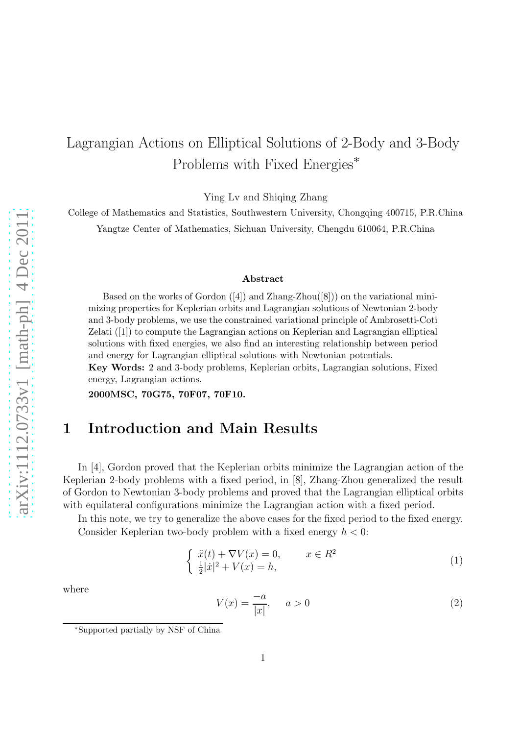# Lagrangian Actions on Elliptical Solutions of 2-Body and 3-Body Problems with Fixed Energies<sup>∗</sup>

Ying Lv and Shiqing Zhang

College of Mathematics and Statistics, Southwestern University, Chongqing 400715, P.R.China Yangtze Center of Mathematics, Sichuan University, Chengdu 610064, P.R.China

#### Abstract

Based on the works of Gordon  $([4])$  and Zhang-Zhou $([8])$  on the variational minimizing properties for Keplerian orbits and Lagrangian solutions of Newtonian 2-body and 3-body problems, we use the constrained variational principle of Ambrosetti-Coti Zelati ([1]) to compute the Lagrangian actions on Keplerian and Lagrangian elliptical solutions with fixed energies, we also find an interesting relationship between period and energy for Lagrangian elliptical solutions with Newtonian potentials. Key Words: 2 and 3-body problems, Keplerian orbits, Lagrangian solutions, Fixed

energy, Lagrangian actions.

2000MSC, 70G75, 70F07, 70F10.

#### 1 Introduction and Main Results

In [4], Gordon proved that the Keplerian orbits minimize the Lagrangian action of the Keplerian 2-body problems with a fixed period, in [8], Zhang-Zhou generalized the result of Gordon to Newtonian 3-body problems and proved that the Lagrangian elliptical orbits with equilateral configurations minimize the Lagrangian action with a fixed period.

In this note, we try to generalize the above cases for the fixed period to the fixed energy. Consider Keplerian two-body problem with a fixed energy  $h < 0$ :

$$
\begin{cases}\n\ddot{x}(t) + \nabla V(x) = 0, & x \in \mathbb{R}^2 \\
\frac{1}{2}|\dot{x}|^2 + V(x) = h,\n\end{cases}
$$
\n(1)

where

$$
V(x) = \frac{-a}{|x|}, \quad a > 0 \tag{2}
$$

<sup>∗</sup>Supported partially by NSF of China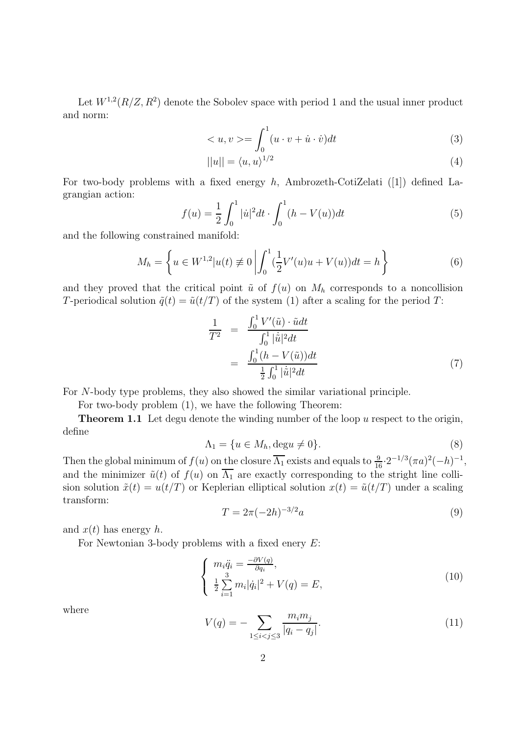Let  $W^{1,2}(R/Z, R^2)$  denote the Sobolev space with period 1 and the usual inner product and norm:

$$
\langle u, v \rangle = \int_0^1 (u \cdot v + \dot{u} \cdot \dot{v}) dt \tag{3}
$$

$$
||u|| = \langle u, u \rangle^{1/2} \tag{4}
$$

For two-body problems with a fixed energy  $h$ , Ambrozeth-CotiZelati ([1]) defined Lagrangian action:

$$
f(u) = \frac{1}{2} \int_0^1 |\dot{u}|^2 dt \cdot \int_0^1 (h - V(u)) dt
$$
 (5)

and the following constrained manifold:

$$
M_h = \left\{ u \in W^{1,2} | u(t) \neq 0 \left| \int_0^1 (\frac{1}{2} V'(u)u + V(u)) dt = h \right. \right\}
$$
 (6)

and they proved that the critical point  $\tilde{u}$  of  $f(u)$  on  $M_h$  corresponds to a noncollision T-periodical solution  $\tilde{q}(t) = \tilde{u}(t/T)$  of the system (1) after a scaling for the period T:

$$
\frac{1}{T^2} = \frac{\int_0^1 V'(\tilde{u}) \cdot \tilde{u} dt}{\int_0^1 |\dot{\tilde{u}}|^2 dt}
$$
\n
$$
= \frac{\int_0^1 (h - V(\tilde{u})) dt}{\frac{1}{2} \int_0^1 |\dot{\tilde{u}}|^2 dt}
$$
\n(7)

For N-body type problems, they also showed the similar variational principle.

For two-body problem (1), we have the following Theorem:

**Theorem 1.1** Let degu denote the winding number of the loop  $u$  respect to the origin, define

$$
\Lambda_1 = \{ u \in M_h, \text{deg} u \neq 0 \}. \tag{8}
$$

Then the global minimum of  $f(u)$  on the closure  $\overline{\Lambda_1}$  exists and equals to  $\frac{9}{16} \cdot 2^{-1/3} (\pi a)^2(-h)^{-1}$ , and the minimizer  $\tilde{u}(t)$  of  $f(u)$  on  $\overline{\Lambda_1}$  are exactly corresponding to the stright line collision solution  $\tilde{x}(t) = u(t/T)$  or Keplerian elliptical solution  $x(t) = \tilde{u}(t/T)$  under a scaling transform:

$$
T = 2\pi (-2h)^{-3/2}a\tag{9}
$$

and  $x(t)$  has energy h.

For Newtonian 3-body problems with a fixed enery  $E$ :

$$
\begin{cases}\n m_i \ddot{q}_i = \frac{-\partial V(q)}{\partial q_i}, \\
 \frac{1}{2} \sum_{i=1}^3 m_i |\dot{q}_i|^2 + V(q) = E,\n\end{cases}
$$
\n(10)

where

$$
V(q) = -\sum_{1 \le i < j \le 3} \frac{m_i m_j}{|q_i - q_j|}.\tag{11}
$$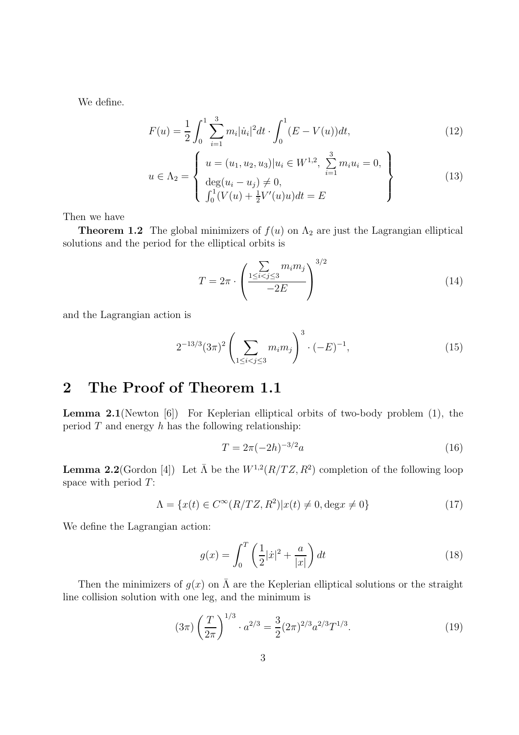We define.

$$
F(u) = \frac{1}{2} \int_0^1 \sum_{i=1}^3 m_i |\dot{u}_i|^2 dt \cdot \int_0^1 (E - V(u)) dt,
$$
\n(12)

$$
u \in \Lambda_2 = \begin{cases} u = (u_1, u_2, u_3) | u_i \in W^{1,2}, \sum_{i=1}^3 m_i u_i = 0, \\ \deg(u_i - u_j) \neq 0, \\ \int_0^1 (V(u) + \frac{1}{2} V'(u) u) dt = E \end{cases}
$$
(13)

Then we have

**Theorem 1.2** The global minimizers of  $f(u)$  on  $\Lambda_2$  are just the Lagrangian elliptical solutions and the period for the elliptical orbits is

$$
T = 2\pi \cdot \left(\frac{\sum\limits_{1 \le i < j \le 3} m_i m_j}{-2E}\right)^{3/2} \tag{14}
$$

and the Lagrangian action is

$$
2^{-13/3}(3\pi)^2 \left(\sum_{1 \le i < j \le 3} m_i m_j\right)^3 \cdot (-E)^{-1},\tag{15}
$$

### 2 The Proof of Theorem 1.1

Lemma 2.1(Newton [6]) For Keplerian elliptical orbits of two-body problem (1), the period  $T$  and energy  $h$  has the following relationship:

$$
T = 2\pi(-2h)^{-3/2}a\tag{16}
$$

**Lemma 2.2** (Gordon [4]) Let  $\bar{\Lambda}$  be the  $W^{1,2}(R/TZ, R^2)$  completion of the following loop space with period T:

$$
\Lambda = \{x(t) \in C^{\infty}(R/TZ, R^2)|x(t) \neq 0, \deg x \neq 0\}
$$
\n
$$
(17)
$$

We define the Lagrangian action:

$$
g(x) = \int_0^T \left(\frac{1}{2}|\dot{x}|^2 + \frac{a}{|x|}\right) dt
$$
 (18)

Then the minimizers of  $g(x)$  on  $\overline{\Lambda}$  are the Keplerian elliptical solutions or the straight line collision solution with one leg, and the minimum is

$$
(3\pi)\left(\frac{T}{2\pi}\right)^{1/3} \cdot a^{2/3} = \frac{3}{2}(2\pi)^{2/3}a^{2/3}T^{1/3}.\tag{19}
$$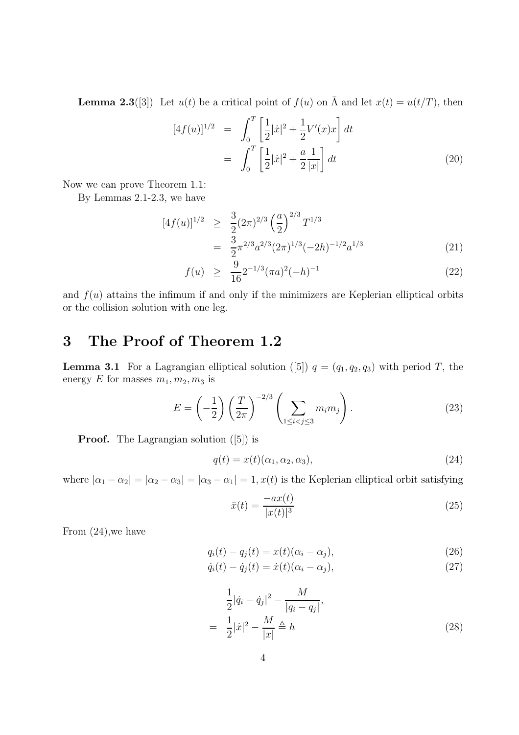**Lemma 2.3**([3]) Let  $u(t)$  be a critical point of  $f(u)$  on  $\overline{\Lambda}$  and let  $x(t) = u(t/T)$ , then

$$
[4f(u)]^{1/2} = \int_0^T \left[\frac{1}{2}|\dot{x}|^2 + \frac{1}{2}V'(x)x\right] dt
$$
  
= 
$$
\int_0^T \left[\frac{1}{2}|\dot{x}|^2 + \frac{a}{2}\frac{1}{|x|}\right] dt
$$
 (20)

Now we can prove Theorem 1.1:

By Lemmas 2.1-2.3, we have

$$
[4f(u)]^{1/2} \geq \frac{3}{2} (2\pi)^{2/3} \left(\frac{a}{2}\right)^{2/3} T^{1/3}
$$
  
= 
$$
\frac{3}{2} \pi^{2/3} a^{2/3} (2\pi)^{1/3} (-2h)^{-1/2} a^{1/3}
$$
(21)

$$
f(u) \geq \frac{9}{16} 2^{-1/3} (\pi a)^2 (-h)^{-1} \tag{22}
$$

and  $f(u)$  attains the infimum if and only if the minimizers are Keplerian elliptical orbits or the collision solution with one leg.

## 3 The Proof of Theorem 1.2

**Lemma 3.1** For a Lagrangian elliptical solution ([5])  $q = (q_1, q_2, q_3)$  with period T, the energy E for masses  $m_1, m_2, m_3$  is

$$
E = \left(-\frac{1}{2}\right) \left(\frac{T}{2\pi}\right)^{-2/3} \left(\sum_{1 \le i < j \le 3} m_i m_j\right). \tag{23}
$$

Proof. The Lagrangian solution ([5]) is

$$
q(t) = x(t)(\alpha_1, \alpha_2, \alpha_3), \qquad (24)
$$

where  $|\alpha_1 - \alpha_2| = |\alpha_2 - \alpha_3| = |\alpha_3 - \alpha_1| = 1$ ,  $x(t)$  is the Keplerian elliptical orbit satisfying

$$
\ddot{x}(t) = \frac{-ax(t)}{|x(t)|^3} \tag{25}
$$

From (24),we have

$$
q_i(t) - q_j(t) = x(t)(\alpha_i - \alpha_j),
$$
\n(26)

$$
\dot{q}_i(t) - \dot{q}_j(t) = \dot{x}(t)(\alpha_i - \alpha_j),\tag{27}
$$

$$
\frac{1}{2}|\dot{q}_i - \dot{q}_j|^2 - \frac{M}{|q_i - q_j|},
$$
\n
$$
= \frac{1}{2}|\dot{x}|^2 - \frac{M}{|x|} \triangleq h \tag{28}
$$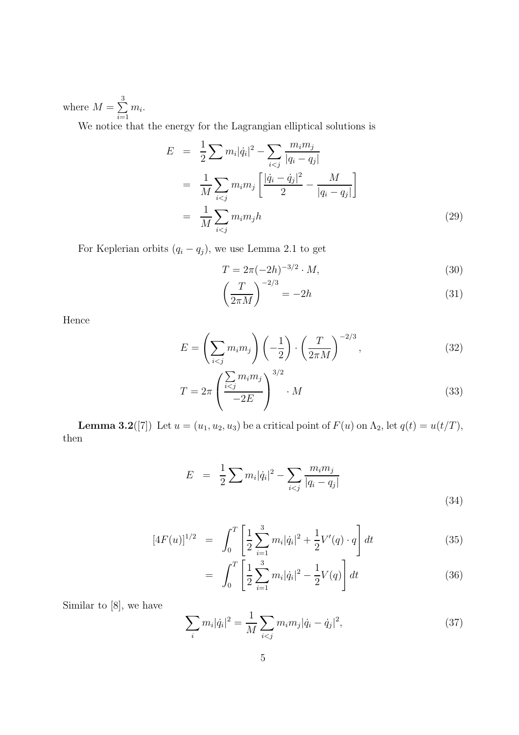where  $M = \sum$ 3  $i=1$  $m_i$ .

We notice that the energy for the Lagrangian elliptical solutions is

$$
E = \frac{1}{2} \sum m_i |\dot{q}_i|^2 - \sum_{i < j} \frac{m_i m_j}{|q_i - q_j|} \\
= \frac{1}{M} \sum_{i < j} m_i m_j \left[ \frac{|\dot{q}_i - \dot{q}_j|^2}{2} - \frac{M}{|q_i - q_j|} \right] \\
= \frac{1}{M} \sum_{i < j} m_i m_j h \tag{29}
$$

For Keplerian orbits  $(q_i - q_j)$ , we use Lemma 2.1 to get

$$
T = 2\pi (-2h)^{-3/2} \cdot M,\t\t(30)
$$

$$
\left(\frac{T}{2\pi M}\right)^{-2/3} = -2h\tag{31}
$$

Hence

$$
E = \left(\sum_{i < j} m_i m_j\right) \left(-\frac{1}{2}\right) \cdot \left(\frac{T}{2\pi M}\right)^{-2/3},\tag{32}
$$

$$
T = 2\pi \left(\frac{\sum_{i < j} m_i m_j}{-2E}\right)^{3/2} \cdot M \tag{33}
$$

**Lemma 3.2**([7]) Let  $u = (u_1, u_2, u_3)$  be a critical point of  $F(u)$  on  $\Lambda_2$ , let  $q(t) = u(t/T)$ , then

$$
E = \frac{1}{2} \sum m_i |\dot{q}_i|^2 - \sum_{i < j} \frac{m_i m_j}{|q_i - q_j|} \tag{34}
$$

$$
[4F(u)]^{1/2} = \int_0^T \left[ \frac{1}{2} \sum_{i=1}^3 m_i |\dot{q}_i|^2 + \frac{1}{2} V'(q) \cdot q \right] dt \tag{35}
$$

$$
= \int_0^T \left[ \frac{1}{2} \sum_{i=1}^3 m_i |\dot{q}_i|^2 - \frac{1}{2} V(q) \right] dt \tag{36}
$$

Similar to [8], we have

$$
\sum_{i} m_{i} |\dot{q}_{i}|^{2} = \frac{1}{M} \sum_{i < j} m_{i} m_{j} |\dot{q}_{i} - \dot{q}_{j}|^{2},\tag{37}
$$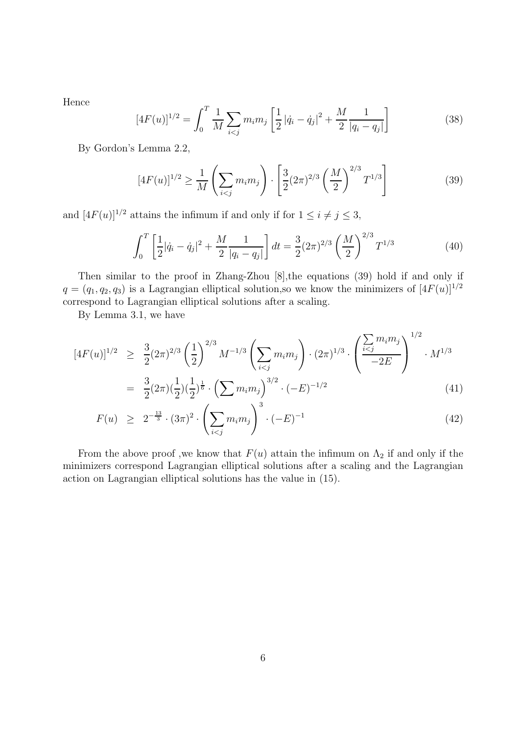Hence

$$
[4F(u)]^{1/2} = \int_0^T \frac{1}{M} \sum_{i < j} m_i m_j \left[ \frac{1}{2} |\dot{q}_i - \dot{q}_j|^2 + \frac{M}{2} \frac{1}{|q_i - q_j|} \right] \tag{38}
$$

By Gordon's Lemma 2.2,

$$
[4F(u)]^{1/2} \ge \frac{1}{M} \left( \sum_{i < j} m_i m_j \right) \cdot \left[ \frac{3}{2} (2\pi)^{2/3} \left( \frac{M}{2} \right)^{2/3} T^{1/3} \right] \tag{39}
$$

and  $[4F(u)]^{1/2}$  attains the infimum if and only if for  $1 \leq i \neq j \leq 3$ ,

$$
\int_0^T \left[ \frac{1}{2} |\dot{q}_i - \dot{q}_j|^2 + \frac{M}{2} \frac{1}{|q_i - q_j|} \right] dt = \frac{3}{2} (2\pi)^{2/3} \left( \frac{M}{2} \right)^{2/3} T^{1/3}
$$
(40)

Then similar to the proof in Zhang-Zhou [8],the equations (39) hold if and only if  $q = (q_1, q_2, q_3)$  is a Lagrangian elliptical solution, so we know the minimizers of  $[4F(u)]^{1/2}$ correspond to Lagrangian elliptical solutions after a scaling.

By Lemma 3.1, we have

$$
[4F(u)]^{1/2} \geq \frac{3}{2}(2\pi)^{2/3} \left(\frac{1}{2}\right)^{2/3} M^{-1/3} \left(\sum_{i < j} m_i m_j\right) \cdot (2\pi)^{1/3} \cdot \left(\frac{\sum_{i < j} m_i m_j}{-2E}\right)^{1/2} \cdot M^{1/3}
$$
\n
$$
\frac{3}{2} \cdot 2 \cdot \sqrt{\frac{1}{2} \cdot \frac{1}{2} \cdot \left(\sum_{i < j} \frac{1}{2} \cdot \frac{1}{2} \cdot \left(\sum_{i < j} \frac{1}{2} \cdot \frac{1}{2} \cdot \frac{1}{2} \cdot \left(\sum_{i < j} \frac{1}{2} \cdot \frac{1}{2} \cdot \frac{1}{2} \cdot \frac{1}{2} \cdot \frac{1}{2} \cdot \frac{1}{2} \cdot \frac{1}{2} \cdot \frac{1}{2} \cdot \frac{1}{2} \cdot \frac{1}{2} \cdot \frac{1}{2} \cdot \frac{1}{2} \cdot \frac{1}{2} \cdot \frac{1}{2} \cdot \frac{1}{2} \cdot \frac{1}{2} \cdot \frac{1}{2} \cdot \frac{1}{2} \cdot \frac{1}{2} \cdot \frac{1}{2} \cdot \frac{1}{2} \cdot \frac{1}{2} \cdot \frac{1}{2} \cdot \frac{1}{2} \cdot \frac{1}{2} \cdot \frac{1}{2} \cdot \frac{1}{2} \cdot \frac{1}{2} \cdot \frac{1}{2} \cdot \frac{1}{2} \cdot \frac{1}{2} \cdot \frac{1}{2} \cdot \frac{1}{2} \cdot \frac{1}{2} \cdot \frac{1}{2} \cdot \frac{1}{2} \cdot \frac{1}{2} \cdot \frac{1}{2} \cdot \frac{1}{2} \cdot \frac{1}{2} \cdot \frac{1}{2} \cdot \frac{1}{2} \cdot \frac{1}{2} \cdot \frac{1}{2} \cdot \frac{1}{2} \cdot \frac{1}{2} \cdot \frac{1}{2} \cdot \frac{1}{2} \cdot \frac{1}{2} \cdot \frac{1}{2} \cdot \frac{1}{2} \cdot \frac{1}{2} \cdot \frac{1}{2} \cdot \frac{1}{2} \cdot \frac{1}{2} \cdot \frac{1}{2} \cdot \frac{1}{2} \cdot \frac{1}{2}
$$

$$
= \frac{3}{2}(2\pi)(\frac{1}{2})(\frac{1}{2})^{\frac{1}{6}} \cdot \left(\sum m_i m_j\right)^{3/2} \cdot (-E)^{-1/2} \tag{41}
$$

$$
F(u) \geq 2^{-\frac{13}{3}} \cdot (3\pi)^2 \cdot \left(\sum_{i < j} m_i m_j\right)^3 \cdot (-E)^{-1} \tag{42}
$$

From the above proof ,we know that  $F(u)$  attain the infimum on  $\Lambda_2$  if and only if the minimizers correspond Lagrangian elliptical solutions after a scaling and the Lagrangian action on Lagrangian elliptical solutions has the value in (15).